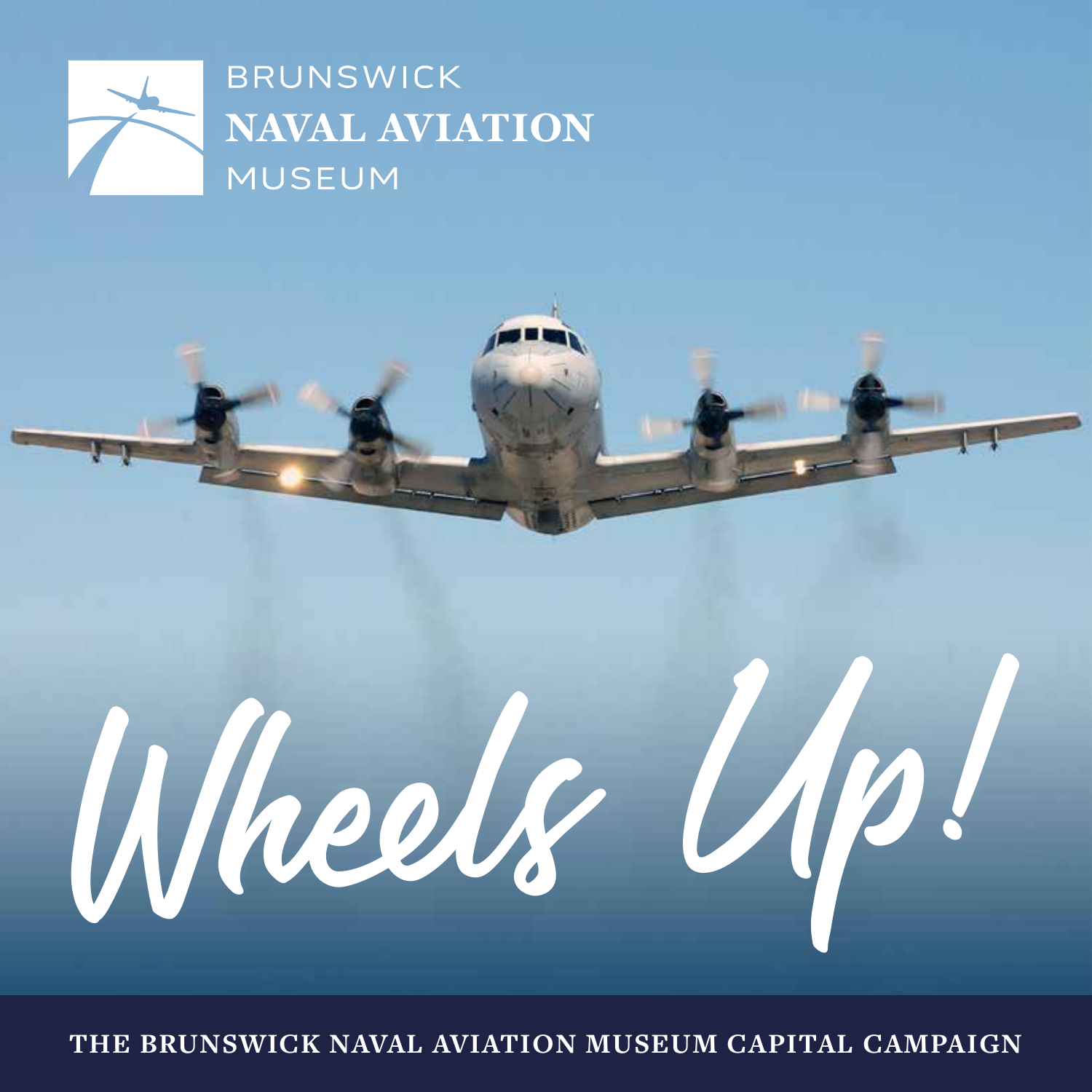

**BRUNSWICK NAVAL AVIATION MUSEUM** 



**THE BRUNSWICK NAVAL AVIATION MUSEUM CAPITAL CAMPAIGN**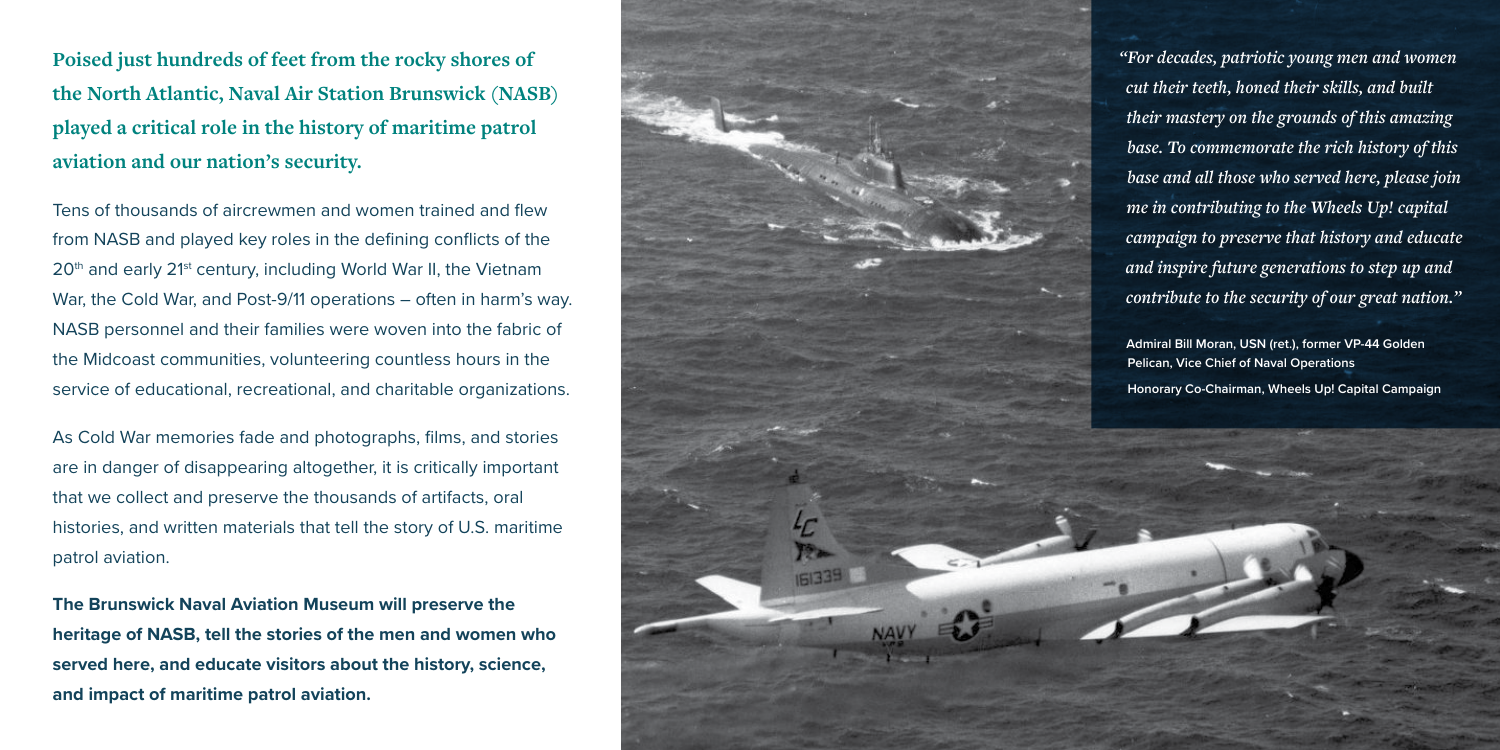**Poised just hundreds of feet from the rocky shores of the North Atlantic, Naval Air Station Brunswick (NASB) played a critical role in the history of maritime patrol aviation and our nation's security.**

Tens of thousands of aircrewmen and women trained and flew from NASB and played key roles in the defining conflicts of the 20<sup>th</sup> and early 21<sup>st</sup> century, including World War II, the Vietnam War, the Cold War, and Post-9/11 operations – often in harm's way. NASB personnel and their families were woven into the fabric of the Midcoast communities, volunteering countless hours in the service of educational, recreational, and charitable organizations.

As Cold War memories fade and photographs, films, and stories are in danger of disappearing altogether, it is critically important that we collect and preserve the thousands of artifacts, oral histories, and written materials that tell the story of U.S. maritime patrol aviation.

**The Brunswick Naval Aviation Museum will preserve the heritage of NASB, tell the stories of the men and women who served here, and educate visitors about the history, science, and impact of maritime patrol aviation.**

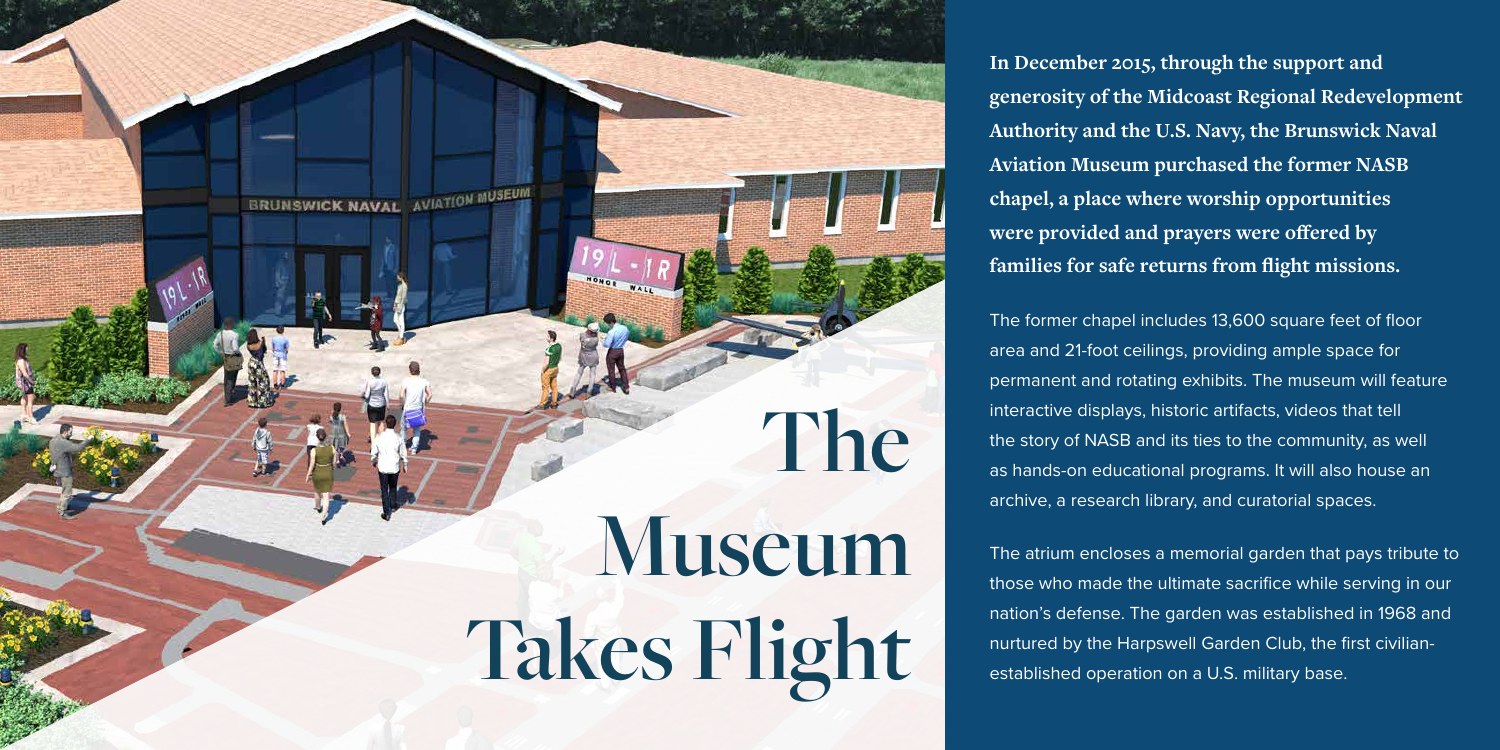**In December 2015, through the support and generosity of the Midcoast Regional Redevelopment Authority and the U.S. Navy, the Brunswick Naval Aviation Museum purchased the former NASB chapel, a place where worship opportunities were provided and prayers were offered by families for safe returns from flight missions.**

The former chapel includes 13,600 square feet of floor area and 21-foot ceilings, providing ample space for permanent and rotating exhibits. The museum will feature interactive displays, historic artifacts, videos that tell the story of NASB and its ties to the community, as well as hands-on educational programs. It will also house an archive, a research library, and curatorial spaces.

The atrium encloses a memorial garden that pays tribute to those who made the ultimate sacrifice while serving in our nation's defense. The garden was established in 1968 and nurtured by the Harpswell Garden Club, the first civilianestablished operation on a U.S. military base.

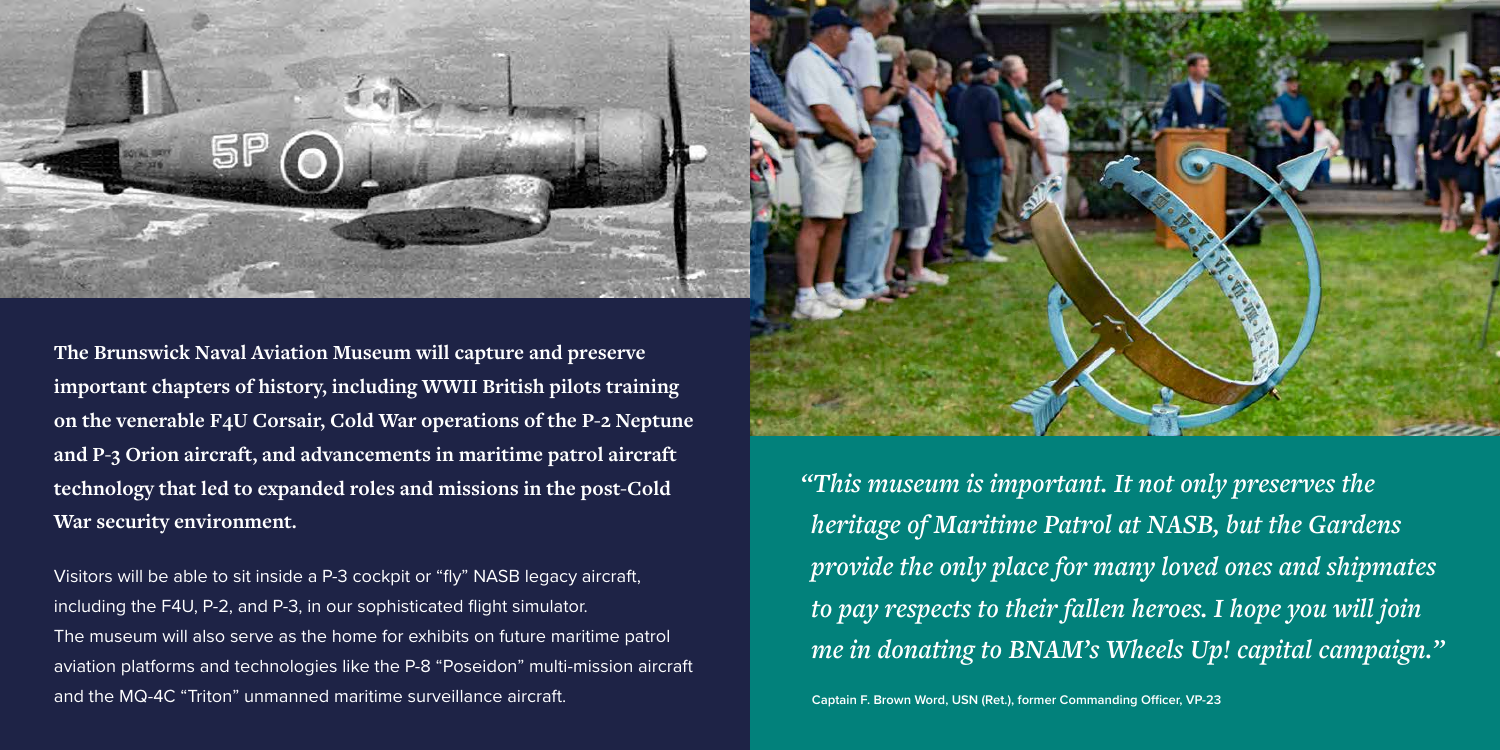*"This museum is important. It not only preserves the heritage of Maritime Patrol at NASB, but the Gardens provide the only place for many loved ones and shipmates to pay respects to their fallen heroes. I hope you will join me in donating to BNAM's Wheels Up! capital campaign."*



**The Brunswick Naval Aviation Museum will capture and preserve important chapters of history, including WWII British pilots training on the venerable F4U Corsair, Cold War operations of the P-2 Neptune and P-3 Orion aircraft, and advancements in maritime patrol aircraft technology that led to expanded roles and missions in the post-Cold War security environment.**

Visitors will be able to sit inside a P-3 cockpit or "fly" NASB legacy aircraft, including the F4U, P-2, and P-3, in our sophisticated flight simulator. The museum will also serve as the home for exhibits on future maritime patrol aviation platforms and technologies like the P-8 "Poseidon" multi-mission aircraft and the MQ-4C "Triton" unmanned maritime surveillance aircraft.

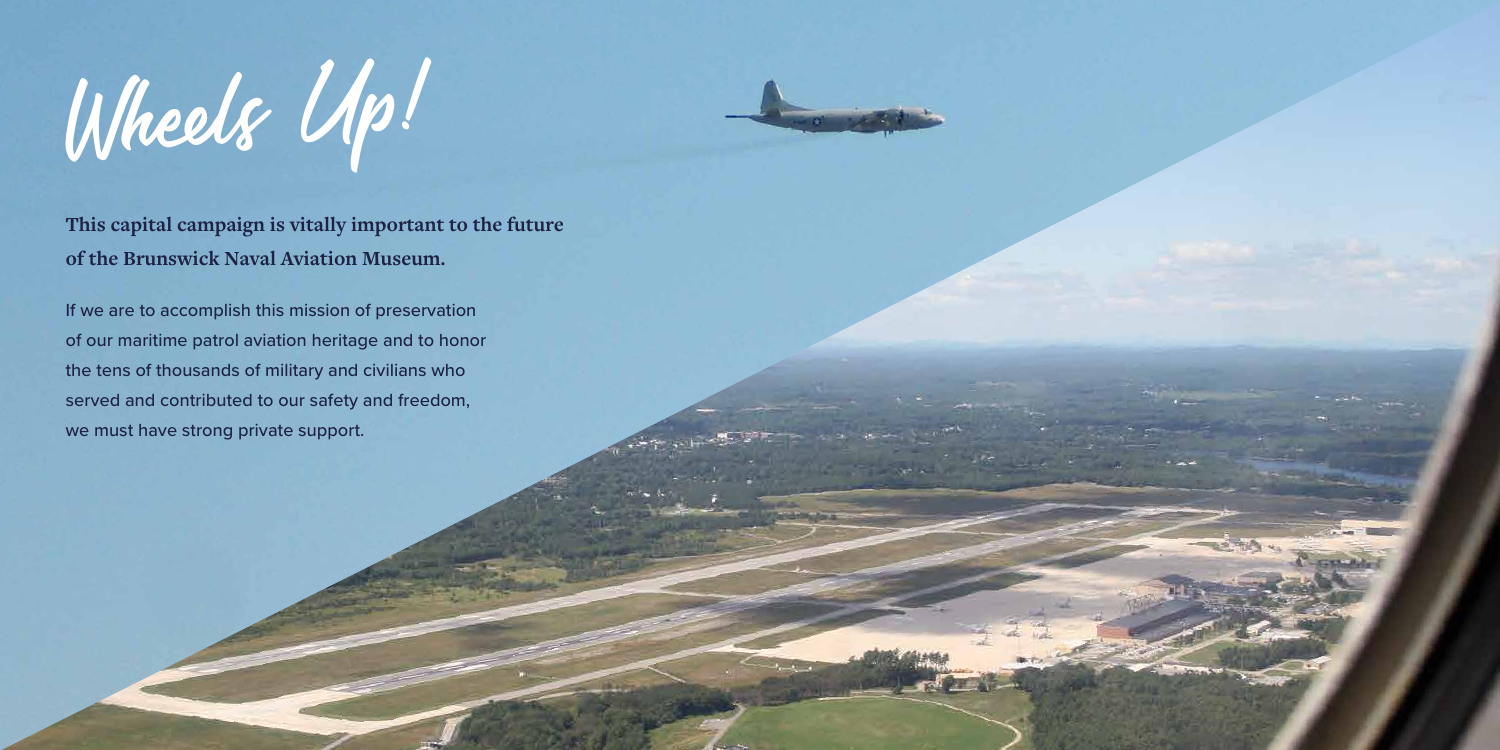Wheels Up!

**This capital campaign is vitally important to the future of the Brunswick Naval Aviation Museum.**

If we are to accomplish this mission of preservation of our maritime patrol aviation heritage and to honor the tens of thousands of military and civilians who served and contributed to our safety and freedom, we must have strong private support.



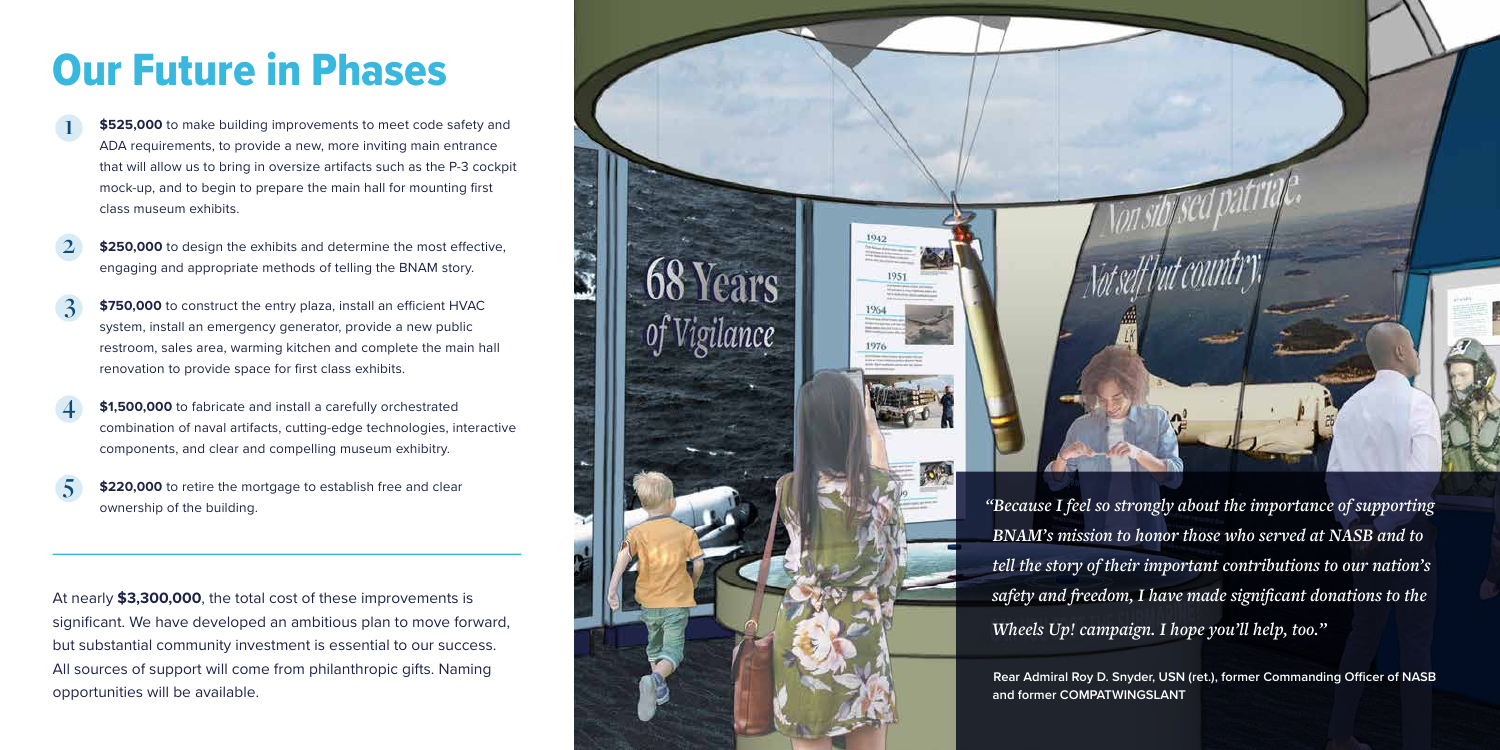## Our Future in Phases

**\$525,000** to make building improvements to meet code safety and ADA requirements, to provide a new, more inviting main entrance that will allow us to bring in oversize artifacts such as the P-3 cockpit mock-up, and to begin to prepare the main hall for mounting first class museum exhibits. **1**

**\$250,000** to design the exhibits and determine the most effective, engaging and appropriate methods of telling the BNAM story. **2**

- **\$750,000** to construct the entry plaza, install an efficient HVAC system, install an emergency generator, provide a new public restroom, sales area, warming kitchen and complete the main hall renovation to provide space for first class exhibits. **3**
- **\$1,500,000** to fabricate and install a carefully orchestrated combination of naval artifacts, cutting-edge technologies, interactive components, and clear and compelling museum exhibitry. **4**
- **\$220,000** to retire the mortgage to establish free and clear **5**



At nearly **\$3,300,000**, the total cost of these improvements is significant. We have developed an ambitious plan to move forward, but substantial community investment is essential to our success. All sources of support will come from philanthropic gifts. Naming opportunities will be available.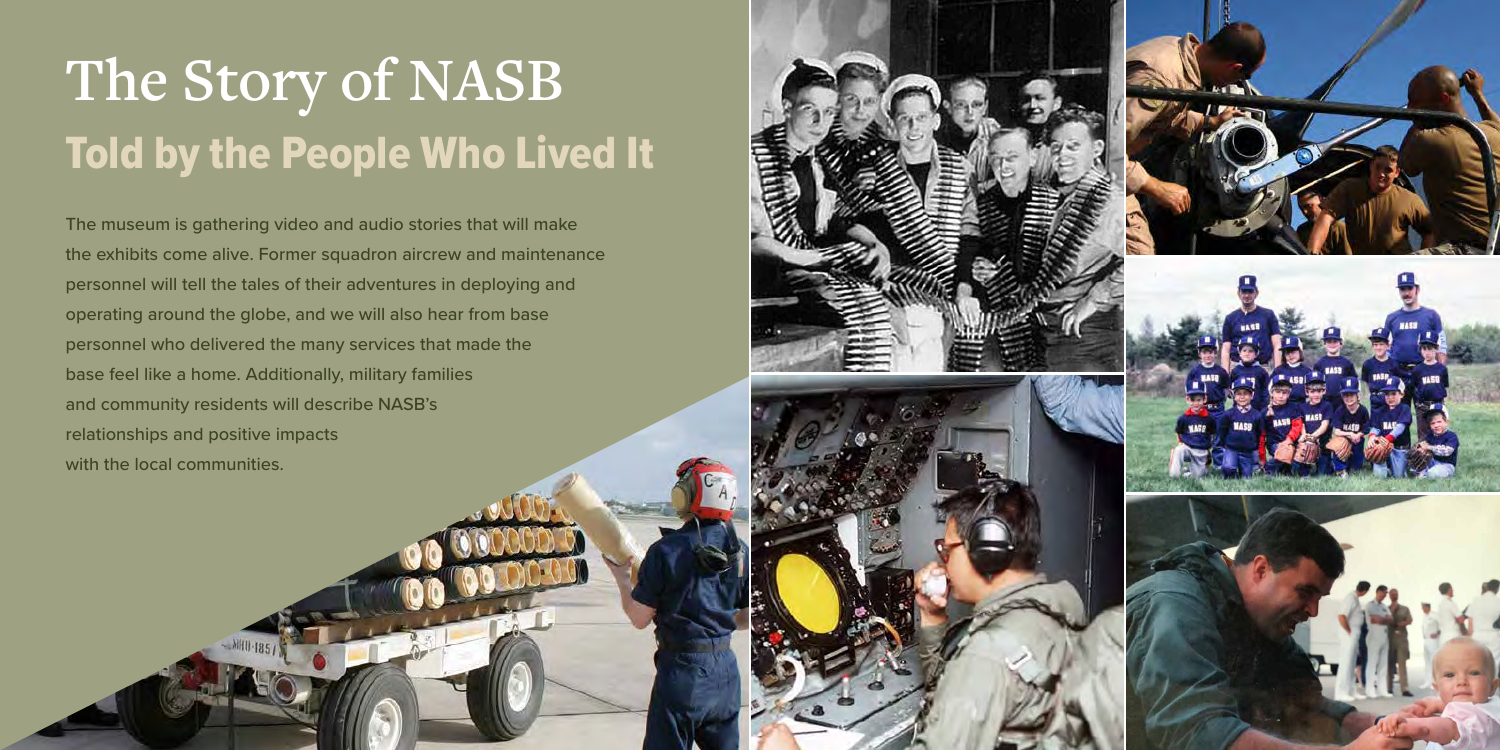## **The Story of NASB** Told by the People Who Lived It

The museum is gathering video and audio stories that will make the exhibits come alive. Former squadron aircrew and maintenance personnel will tell the tales of their adventures in deploying and operating around the globe, and we will also hear from base personnel who delivered the many services that made the base feel like a home. Additionally, military families and community residents will describe NASB's relationships and positive impacts with the local communities.



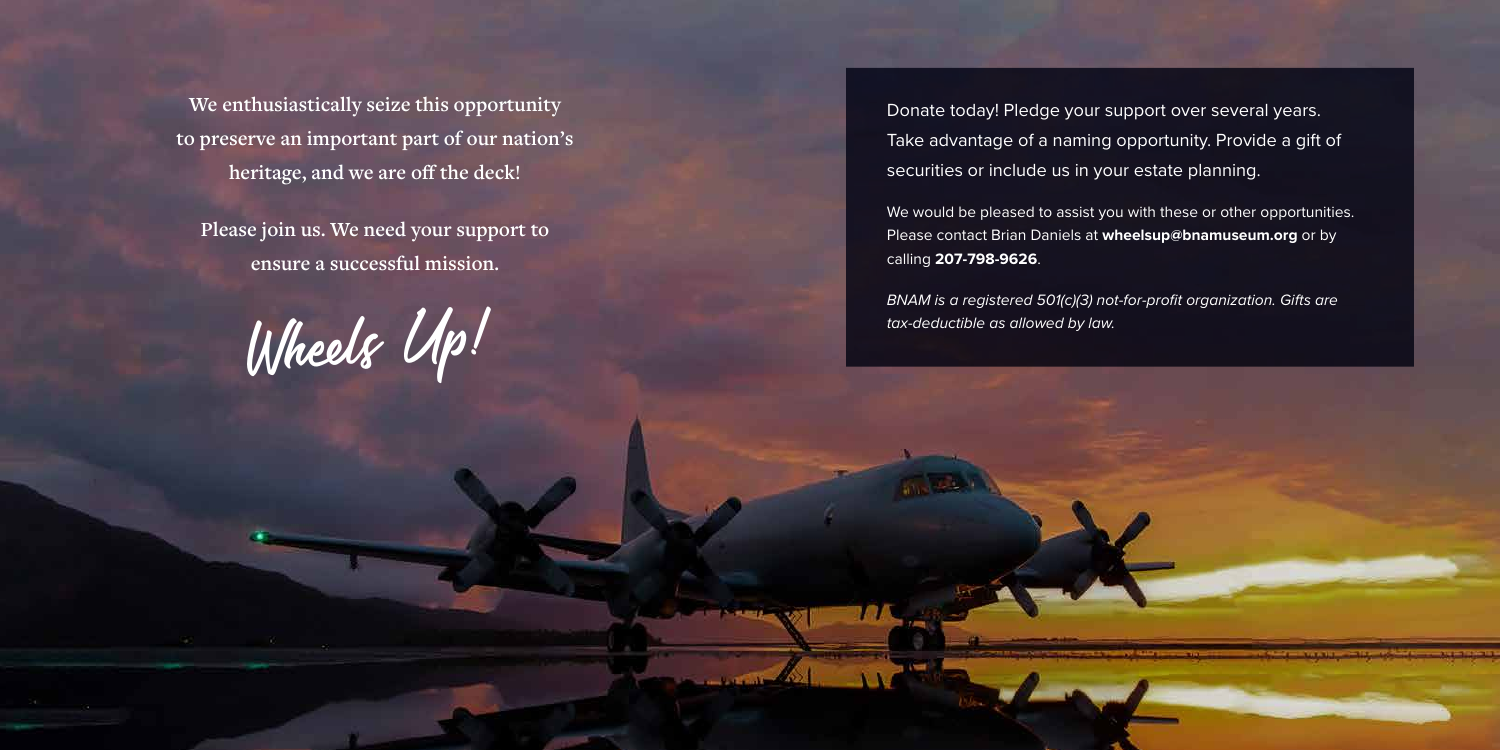**We enthusiastically seize this opportunity to preserve an important part of our nation's heritage, and we are off the deck!**

**Please join us. We need your support to ensure a successful mission.**

Wheels Up!

Donate today! Pledge your support over several years. Take advantage of a naming opportunity. Provide a gift of securities or include us in your estate planning.

We would be pleased to assist you with these or other opportunities. Please contact Brian Daniels at **wheelsup@bnamuseum.org** or by calling **207-798-9626** .

*BNAM is a registered 501(c)(3) not-for-profit organization. Gifts are tax-deductible as allowed by law.*